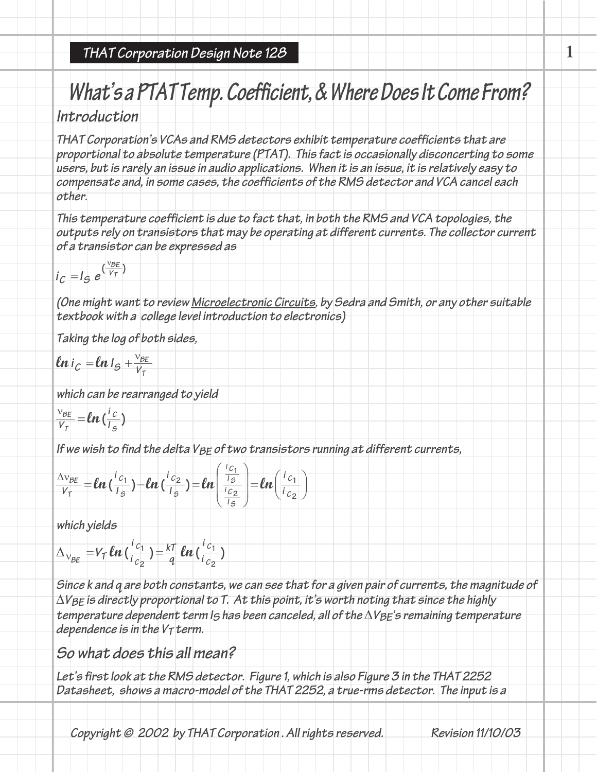### **THAT Corporation Design Note 128**

# What's a PTAT Temp. Coefficient, & Where Does It Come From?

**1**

## **Introduction**

THAT Corporation's VCAs and RMS detectors exhibit temperature coefficients that are proportional to absolute temperature (PTAT). This fact is occasionally disconcerting to some users, but is rarely an issue in audio applications. When it is an issue, it is relatively easy to compensate and, in some cases, the coefficients of the RMS detector and VCA cancel each **other.**

This temperature coefficient is due to fact that, in both the RMS and VCA topologies, the outputs rely on transistors that may be operating at different currents. The collector current **of <sup>a</sup> transistor can be expressed as**

$$
i_C = I_S e^{(\frac{VBE}{V_T})}
$$

(One might want to review Microelectronic Circuits, by Sedra and Smith, or any other suitable **textbook with <sup>a</sup> college level introduction to electronics)**

**Taking the log of both sides,**

$$
ln i_C = ln l_S + \frac{v_{BE}}{V_T}
$$

**which can be rearranged to yield**

$$
\frac{v_{BE}}{V_T} = ln\left(\frac{i_c}{i_s}\right)
$$

If we wish to find the delta VBE of two transistors running at different currents,

$$
\frac{\Delta v_{BE}}{V_T} = \ln\left(\frac{i_{C_1}}{I_S}\right) - \ln\left(\frac{i_{C_2}}{I_S}\right) = \ln\left(\frac{\frac{i_{C_1}}{I_S}}{\frac{i_{C_2}}{I_S}}\right) = \ln\left(\frac{i_{C_1}}{i_{C_2}}\right)
$$

**which yields**

$$
\Delta_{\text{V}_{BE}} = V_T \ln\left(\frac{i_{c_1}}{i_{c_2}}\right) = \frac{kT}{q} \ln\left(\frac{i_{c_1}}{i_{c_2}}\right)
$$

Since k and q are both constants, we can see that for a given pair of currents, the magnitude of  $\Delta V$ BE is directly proportional to T. At this point, it's worth noting that since the highly temperature dependent term  $I_5$  has been canceled, all of the  $\Delta V_{BE}$ 's remaining temperature  $\alpha$  *dependence* is in the  $V<sub>T</sub>$  term.

### **So what does this all mean?**

Let's first look at the RMS detector. Figure 1, which is also Figure 3 in the THAT 2252 Datasheet, shows a macro-model of the THAT 2252, a true-rms detector. The input is a

Copyright © 2002 by THAT Corporation. All rights reserved. Revision 11/10/03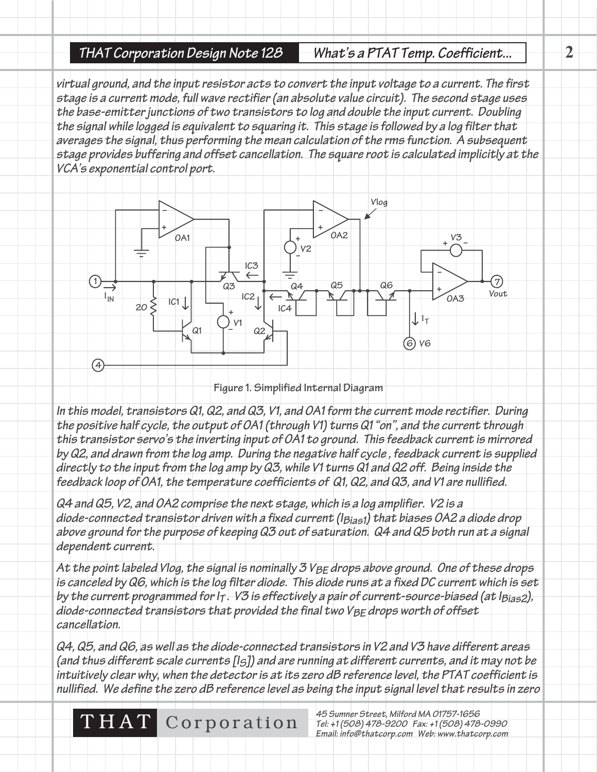#### **THAT Corporation Design Note 128 What's <sup>a</sup> PTAT Temp. Coefficient... 2**

virtual ground, and the input resistor acts to convert the input voltage to a current. The first stage is a current mode, full wave rectifier (an absolute value circuit). The second stage uses the base-emitter junctions of two transistors to log and double the input current. Doubling the signal while logged is equivalent to squaring it. This stage is followed by a log filter that averages the signal, thus performing the mean calculation of the rms function. A subsequent stage provides buffering and offset cancellation. The square root is calculated implicitly at the **VCA's exponential control port.**



**Figure 1. Simplified Internal Diagram**

In this model, transistors Q1, Q2, and Q3, V1, and OA1 form the current mode rectifier. During the positive half cycle, the output of OA1 (through V1) turns Q1 "on", and the current through this transistor servo's the inverting input of OA1 to ground. This feedback current is mirrored by Q2, and drawn from the log amp. During the negative half cycle, feedback current is supplied directly to the input from the log amp by  $Q3$ , while V1 turns  $Q1$  and  $Q2$  off. Being inside the feedback loop of OA1, the temperature coefficients of Q1, Q2, and Q3, and V1 are nullified.

Q4 and Q5, V2, and OA2 comprise the next stage, which is a log amplifier. V2 is a diode-connected transistor driven with a fixed current ( $l_{Bias1}$ ) that biases OA2 a diode drop above ground for the purpose of keeping Q3 out of saturation. Q4 and Q5 both run at a signal **dependent current.**

At the point labeled Vlog, the signal is nominally 3  $V_{BE}$  drops above ground. One of these drops is canceled by Q6, which is the log filter diode. This diode runs at a fixed DC current which is set by the current programmed for I<sub>T</sub>. V3 is effectively a pair of current-source-biased (at I<sub>Bias2</sub>), diode-connected transistors that provided the final two V<sub>BE</sub> drops worth of offset **cancellation.**

Q4, Q5, and Q6, as well as the diode-connected transistors in V2 and V3 have different areas (and thus different scale currents [15]) and are running at different currents, and it may not be intuitively clear why, when the detector is at its zero dB reference level, the PTAT coefficient is nullified. We define the zero dB reference level as being the input signal level that results in zero

THAT Corporation **<sup>45</sup> Sumner Street, Milford MA 01757-1656**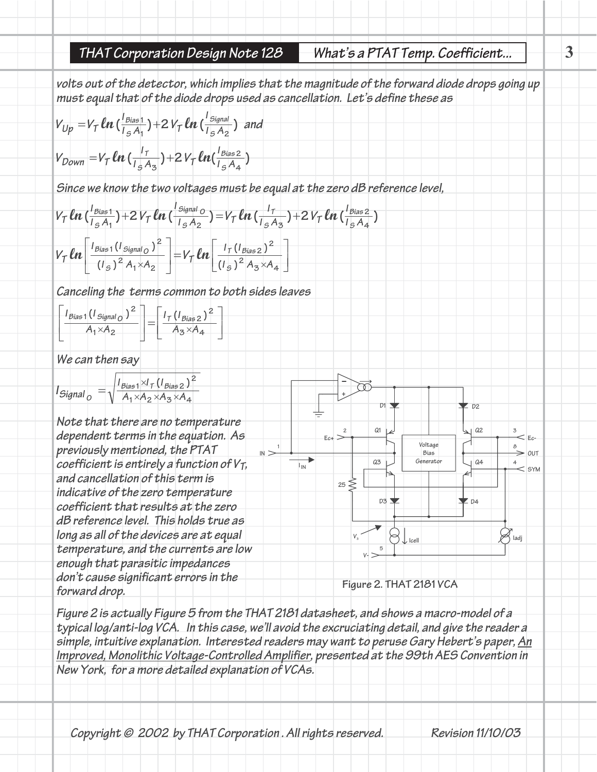**3**

volts out of the detector, which implies that the magnitude of the forward diode drops going up must equal that of the diode drops used as cancellation. Let's define these as

$$
V_{Up} = V_T \ln\left(\frac{l_{Bias1}}{l_{S}A_1}\right) + 2V_T \ln\left(\frac{l_{Signal}}{l_{S}A_2}\right) \text{ and}
$$
\n
$$
V_{Down} = V_T \ln\left(\frac{l_T}{l_{S}A_3}\right) + 2V_T \ln\left(\frac{l_{Bias2}}{l_{S}A_4}\right)
$$

Since we know the two voltages must be equal at the zero dB reference level,

$$
V_{\tau} \ln \Big( \frac{l_{\text{Bias1}}}{l_{\text{SA}}}\Big) + 2 V_{\tau} \ln \Big( \frac{l_{\text{Signal}}}{l_{\text{SA}}}\Big) = V_{\tau} \ln \Big( \frac{l_{\tau}}{l_{\text{SA}}}\Big) + 2 V_{\tau} \ln \Big( \frac{l_{\text{Bias2}}}{l_{\text{SA}}}\Big)
$$
  

$$
V_{\tau} \ln \Bigg[ \frac{l_{\text{Bias1}}(l_{\text{Signal}})}{(l_{\text{SA}})^2} \Bigg] = V_{\tau} \ln \Big[ \frac{l_{\tau}(l_{\text{Bias2}})^2}{(l_{\text{SA}})^2 A_3 \times A_4} \Big]
$$

**Canceling the terms common to both sides leaves**

$$
\left[\frac{I_{Bias1}(I_{Signal_O})^2}{A_1 \times A_2}\right] = \left[\frac{I_{\tau}(I_{Bias2})^2}{A_3 \times A_4}\right]
$$

**We can then say**

| $I_{Signal_O} = \sqrt{\frac{I_{Bias1} \times I_T (I_{Bias2})^2}{A_1 \times A_2 \times A_3 \times A_4}}$ |                                      |
|---------------------------------------------------------------------------------------------------------|--------------------------------------|
| Note that there are no temperature                                                                      | dependent terms in the equation. As  |
| previously mentioned, the PTAT                                                                          | Ex-                                  |
| coefficient is entirely a function of V <sub>T</sub> , and cancellation of this term is                 | Ca                                   |
| indicate of the zero temperature                                                                        | coefficient that results at the zero |
| db reference level. This holds true as                                                                  | 25                                   |
| long as all of the devices are at equal                                                                 | 25                                   |
| comperature, and the currents are low                                                                   | 26                                   |
| domic cause significant errors in the                                                                   | Figure 2. THAT 2181 VCA              |

Figure 2 is actually Figure 5 from the THAT 2181 datasheet, and shows a macro-model of a typical log/anti-log VCA. In this case, we'll avoid the excruciating detail, and give the reader a simple, intuitive explanation. Interested readers may want to peruse Gary Hebert's paper, An Improved, Monolithic Voltage-Controlled Amplifier, presented at the 99th AES Convention in **New York, for <sup>a</sup> more detailed explanation of VCAs.**

Copyright © 2002 by THAT Corporation. All rights reserved. Revision 11/10/03